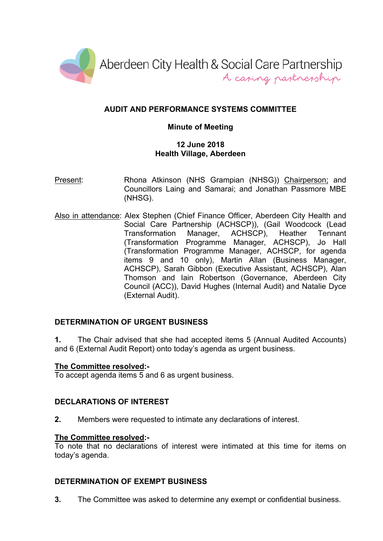

# **AUDIT AND PERFORMANCE SYSTEMS COMMITTEE**

## **Minute of Meeting**

## **12 June 2018 Health Village, Aberdeen**

- Present: Rhona Atkinson (NHS Grampian (NHSG)) Chairperson; and Councillors Laing and Samarai; and Jonathan Passmore MBE (NHSG).
- Also in attendance: Alex Stephen (Chief Finance Officer, Aberdeen City Health and Social Care Partnership (ACHSCP)), (Gail Woodcock (Lead Transformation Manager, ACHSCP), Heather Tennant (Transformation Programme Manager, ACHSCP), Jo Hall (Transformation Programme Manager, ACHSCP, for agenda items 9 and 10 only), Martin Allan (Business Manager, ACHSCP), Sarah Gibbon (Executive Assistant, ACHSCP), Alan Thomson and Iain Robertson (Governance, Aberdeen City Council (ACC)), David Hughes (Internal Audit) and Natalie Dyce (External Audit).

# **DETERMINATION OF URGENT BUSINESS**

**1.** The Chair advised that she had accepted items 5 (Annual Audited Accounts) and 6 (External Audit Report) onto today's agenda as urgent business.

### **The Committee resolved:-**

To accept agenda items 5 and 6 as urgent business.

# **DECLARATIONS OF INTEREST**

**2.** Members were requested to intimate any declarations of interest.

### **The Committee resolved:-**

To note that no declarations of interest were intimated at this time for items on today's agenda.

### **DETERMINATION OF EXEMPT BUSINESS**

**3.** The Committee was asked to determine any exempt or confidential business.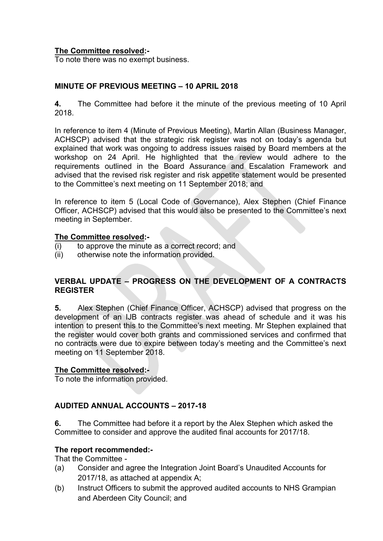## **The Committee resolved:-**

To note there was no exempt business.

## **MINUTE OF PREVIOUS MEETING – 10 APRIL 2018**

**4.** The Committee had before it the minute of the previous meeting of 10 April 2018.

In reference to item 4 (Minute of Previous Meeting), Martin Allan (Business Manager, ACHSCP) advised that the strategic risk register was not on today's agenda but explained that work was ongoing to address issues raised by Board members at the workshop on 24 April. He highlighted that the review would adhere to the requirements outlined in the Board Assurance and Escalation Framework and advised that the revised risk register and risk appetite statement would be presented to the Committee's next meeting on 11 September 2018; and

In reference to item 5 (Local Code of Governance), Alex Stephen (Chief Finance Officer, ACHSCP) advised that this would also be presented to the Committee's next meeting in September.

### **The Committee resolved:-**

- (i) to approve the minute as a correct record; and
- (ii) otherwise note the information provided.

### **VERBAL UPDATE – PROGRESS ON THE DEVELOPMENT OF A CONTRACTS REGISTER**

**5.** Alex Stephen (Chief Finance Officer, ACHSCP) advised that progress on the development of an IJB contracts register was ahead of schedule and it was his intention to present this to the Committee's next meeting. Mr Stephen explained that the register would cover both grants and commissioned services and confirmed that no contracts were due to expire between today's meeting and the Committee's next meeting on 11 September 2018.

### **The Committee resolved:-**

To note the information provided.

# **AUDITED ANNUAL ACCOUNTS – 2017-18**

**6.** The Committee had before it a report by the Alex Stephen which asked the Committee to consider and approve the audited final accounts for 2017/18.

### **The report recommended:-**

That the Committee -

- (a) Consider and agree the Integration Joint Board's Unaudited Accounts for 2017/18, as attached at appendix A;
- (b) Instruct Officers to submit the approved audited accounts to NHS Grampian and Aberdeen City Council; and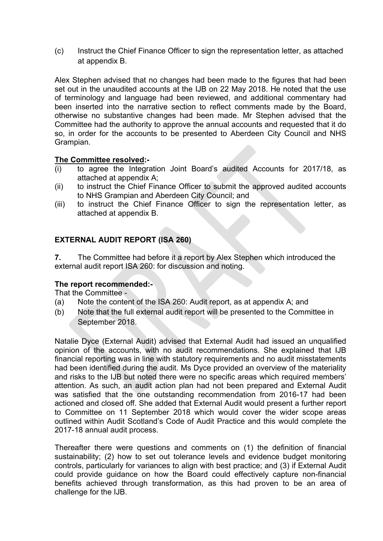(c) Instruct the Chief Finance Officer to sign the representation letter, as attached at appendix B.

Alex Stephen advised that no changes had been made to the figures that had been set out in the unaudited accounts at the IJB on 22 May 2018. He noted that the use of terminology and language had been reviewed, and additional commentary had been inserted into the narrative section to reflect comments made by the Board, otherwise no substantive changes had been made. Mr Stephen advised that the Committee had the authority to approve the annual accounts and requested that it do so, in order for the accounts to be presented to Aberdeen City Council and NHS Grampian.

### **The Committee resolved:-**

- (i) to agree the Integration Joint Board's audited Accounts for 2017/18, as attached at appendix A;
- (ii) to instruct the Chief Finance Officer to submit the approved audited accounts to NHS Grampian and Aberdeen City Council; and
- (iii) to instruct the Chief Finance Officer to sign the representation letter, as attached at appendix B.

### **EXTERNAL AUDIT REPORT (ISA 260)**

**7.** The Committee had before it a report by Alex Stephen which introduced the external audit report ISA 260: for discussion and noting.

#### **The report recommended:-**

That the Committee -

- (a) Note the content of the ISA 260: Audit report, as at appendix A; and
- (b) Note that the full external audit report will be presented to the Committee in September 2018.

Natalie Dyce (External Audit) advised that External Audit had issued an unqualified opinion of the accounts, with no audit recommendations. She explained that IJB financial reporting was in line with statutory requirements and no audit misstatements had been identified during the audit. Ms Dyce provided an overview of the materiality and risks to the IJB but noted there were no specific areas which required members' attention. As such, an audit action plan had not been prepared and External Audit was satisfied that the one outstanding recommendation from 2016-17 had been actioned and closed off. She added that External Audit would present a further report to Committee on 11 September 2018 which would cover the wider scope areas outlined within Audit Scotland's Code of Audit Practice and this would complete the 2017-18 annual audit process.

Thereafter there were questions and comments on (1) the definition of financial sustainability; (2) how to set out tolerance levels and evidence budget monitoring controls, particularly for variances to align with best practice; and (3) if External Audit could provide guidance on how the Board could effectively capture non-financial benefits achieved through transformation, as this had proven to be an area of challenge for the IJB.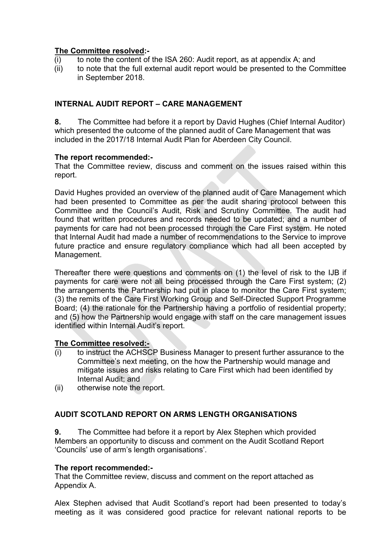## **The Committee resolved:-**

- (i) to note the content of the ISA 260: Audit report, as at appendix A; and
- (ii) to note that the full external audit report would be presented to the Committee in September 2018.

# **INTERNAL AUDIT REPORT – CARE MANAGEMENT**

**8.** The Committee had before it a report by David Hughes (Chief Internal Auditor) which presented the outcome of the planned audit of Care Management that was included in the 2017/18 Internal Audit Plan for Aberdeen City Council.

### **The report recommended:-**

That the Committee review, discuss and comment on the issues raised within this report.

David Hughes provided an overview of the planned audit of Care Management which had been presented to Committee as per the audit sharing protocol between this Committee and the Council's Audit, Risk and Scrutiny Committee. The audit had found that written procedures and records needed to be updated; and a number of payments for care had not been processed through the Care First system. He noted that Internal Audit had made a number of recommendations to the Service to improve future practice and ensure regulatory compliance which had all been accepted by Management.

Thereafter there were questions and comments on (1) the level of risk to the IJB if payments for care were not all being processed through the Care First system; (2) the arrangements the Partnership had put in place to monitor the Care First system; (3) the remits of the Care First Working Group and Self-Directed Support Programme Board; (4) the rationale for the Partnership having a portfolio of residential property; and (5) how the Partnership would engage with staff on the care management issues identified within Internal Audit's report.

### **The Committee resolved:-**

- (i) to instruct the ACHSCP Business Manager to present further assurance to the Committee's next meeting, on the how the Partnership would manage and mitigate issues and risks relating to Care First which had been identified by Internal Audit; and
- (ii) otherwise note the report.

# **AUDIT SCOTLAND REPORT ON ARMS LENGTH ORGANISATIONS**

**9.** The Committee had before it a report by Alex Stephen which provided Members an opportunity to discuss and comment on the Audit Scotland Report 'Councils' use of arm's length organisations'.

### **The report recommended:-**

That the Committee review, discuss and comment on the report attached as Appendix A.

Alex Stephen advised that Audit Scotland's report had been presented to today's meeting as it was considered good practice for relevant national reports to be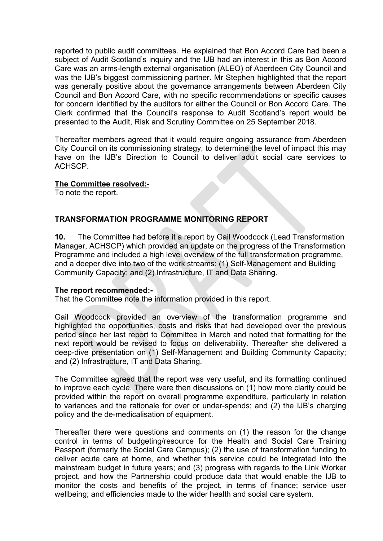reported to public audit committees. He explained that Bon Accord Care had been a subject of Audit Scotland's inquiry and the IJB had an interest in this as Bon Accord Care was an arms-length external organisation (ALEO) of Aberdeen City Council and was the IJB's biggest commissioning partner. Mr Stephen highlighted that the report was generally positive about the governance arrangements between Aberdeen City Council and Bon Accord Care, with no specific recommendations or specific causes for concern identified by the auditors for either the Council or Bon Accord Care. The Clerk confirmed that the Council's response to Audit Scotland's report would be presented to the Audit, Risk and Scrutiny Committee on 25 September 2018.

Thereafter members agreed that it would require ongoing assurance from Aberdeen City Council on its commissioning strategy, to determine the level of impact this may have on the IJB's Direction to Council to deliver adult social care services to ACHSCP.

#### **The Committee resolved:-**

To note the report.

### **TRANSFORMATION PROGRAMME MONITORING REPORT**

**10.** The Committee had before it a report by Gail Woodcock (Lead Transformation Manager, ACHSCP) which provided an update on the progress of the Transformation Programme and included a high level overview of the full transformation programme, and a deeper dive into two of the work streams: (1) Self-Management and Building Community Capacity; and (2) Infrastructure, IT and Data Sharing.

#### **The report recommended:-**

That the Committee note the information provided in this report.

Gail Woodcock provided an overview of the transformation programme and highlighted the opportunities, costs and risks that had developed over the previous period since her last report to Committee in March and noted that formatting for the next report would be revised to focus on deliverability. Thereafter she delivered a deep-dive presentation on (1) Self-Management and Building Community Capacity; and (2) Infrastructure, IT and Data Sharing.

The Committee agreed that the report was very useful, and its formatting continued to improve each cycle. There were then discussions on (1) how more clarity could be provided within the report on overall programme expenditure, particularly in relation to variances and the rationale for over or under-spends; and (2) the IJB's charging policy and the de-medicalisation of equipment.

Thereafter there were questions and comments on (1) the reason for the change control in terms of budgeting/resource for the Health and Social Care Training Passport (formerly the Social Care Campus); (2) the use of transformation funding to deliver acute care at home, and whether this service could be integrated into the mainstream budget in future years; and (3) progress with regards to the Link Worker project, and how the Partnership could produce data that would enable the IJB to monitor the costs and benefits of the project, in terms of finance; service user wellbeing; and efficiencies made to the wider health and social care system.